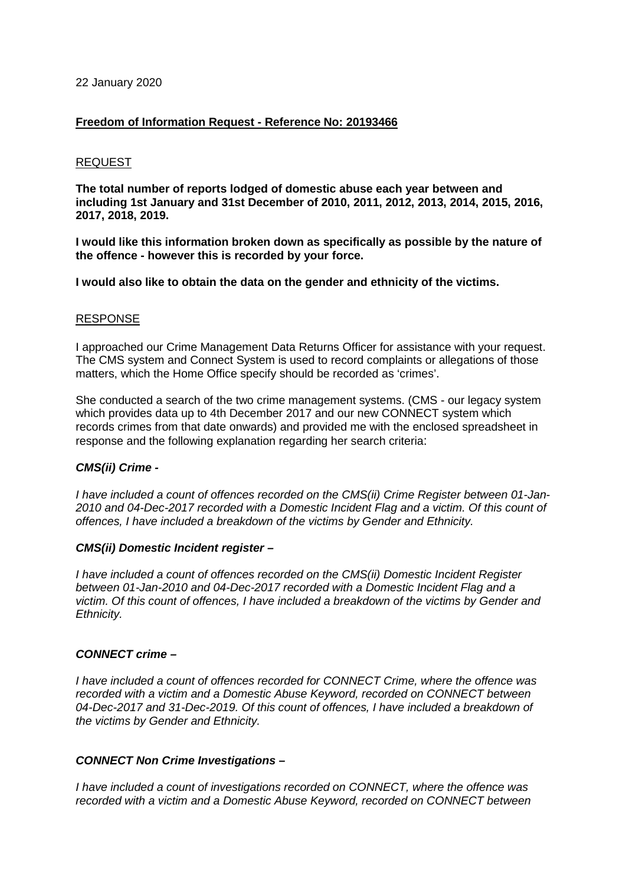### 22 January 2020

## **Freedom of Information Request - Reference No: 20193466**

### REQUEST

**The total number of reports lodged of domestic abuse each year between and including 1st January and 31st December of 2010, 2011, 2012, 2013, 2014, 2015, 2016, 2017, 2018, 2019.**

**I would like this information broken down as specifically as possible by the nature of the offence - however this is recorded by your force.** 

**I would also like to obtain the data on the gender and ethnicity of the victims.**

## RESPONSE

I approached our Crime Management Data Returns Officer for assistance with your request. The CMS system and Connect System is used to record complaints or allegations of those matters, which the Home Office specify should be recorded as 'crimes'.

She conducted a search of the two crime management systems. (CMS - our legacy system which provides data up to 4th December 2017 and our new CONNECT system which records crimes from that date onwards) and provided me with the enclosed spreadsheet in response and the following explanation regarding her search criteria:

### *CMS(ii) Crime -*

*I have included a count of offences recorded on the CMS(ii) Crime Register between 01-Jan-2010 and 04-Dec-2017 recorded with a Domestic Incident Flag and a victim. Of this count of offences, I have included a breakdown of the victims by Gender and Ethnicity.*

### *CMS(ii) Domestic Incident register –*

*I have included a count of offences recorded on the CMS(ii) Domestic Incident Register between 01-Jan-2010 and 04-Dec-2017 recorded with a Domestic Incident Flag and a victim. Of this count of offences, I have included a breakdown of the victims by Gender and Ethnicity.*

# *CONNECT crime –*

*I have included a count of offences recorded for CONNECT Crime, where the offence was recorded with a victim and a Domestic Abuse Keyword, recorded on CONNECT between 04-Dec-2017 and 31-Dec-2019. Of this count of offences, I have included a breakdown of the victims by Gender and Ethnicity.*

# *CONNECT Non Crime Investigations –*

*I have included a count of investigations recorded on CONNECT, where the offence was recorded with a victim and a Domestic Abuse Keyword, recorded on CONNECT between*